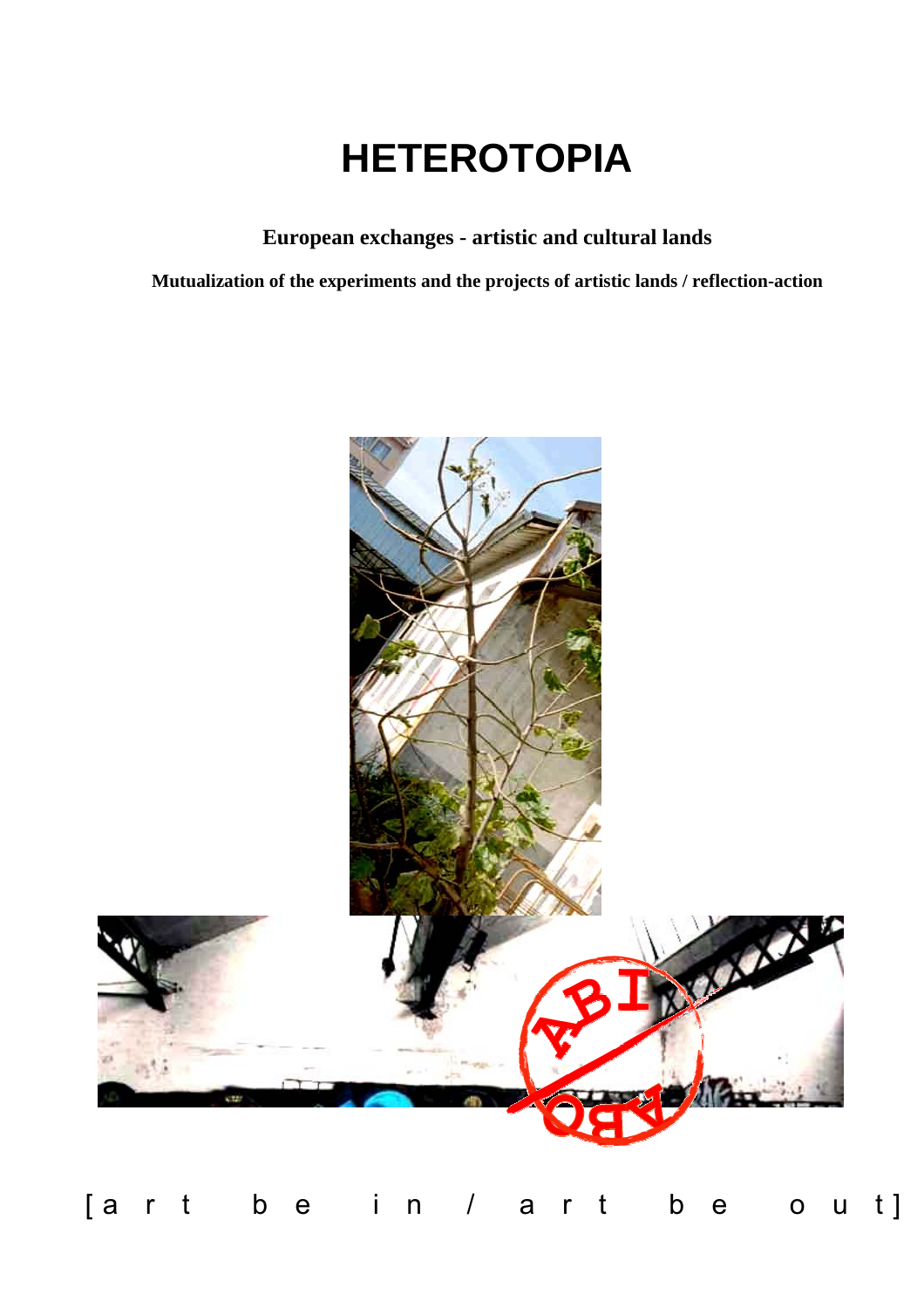# **HETEROTOPIA**

# **European exchanges - artistic and cultural lands**

**Mutualization of the experiments and the projects of artistic lands / reflection-action**



[a r t b e i n / a r t b e o u t]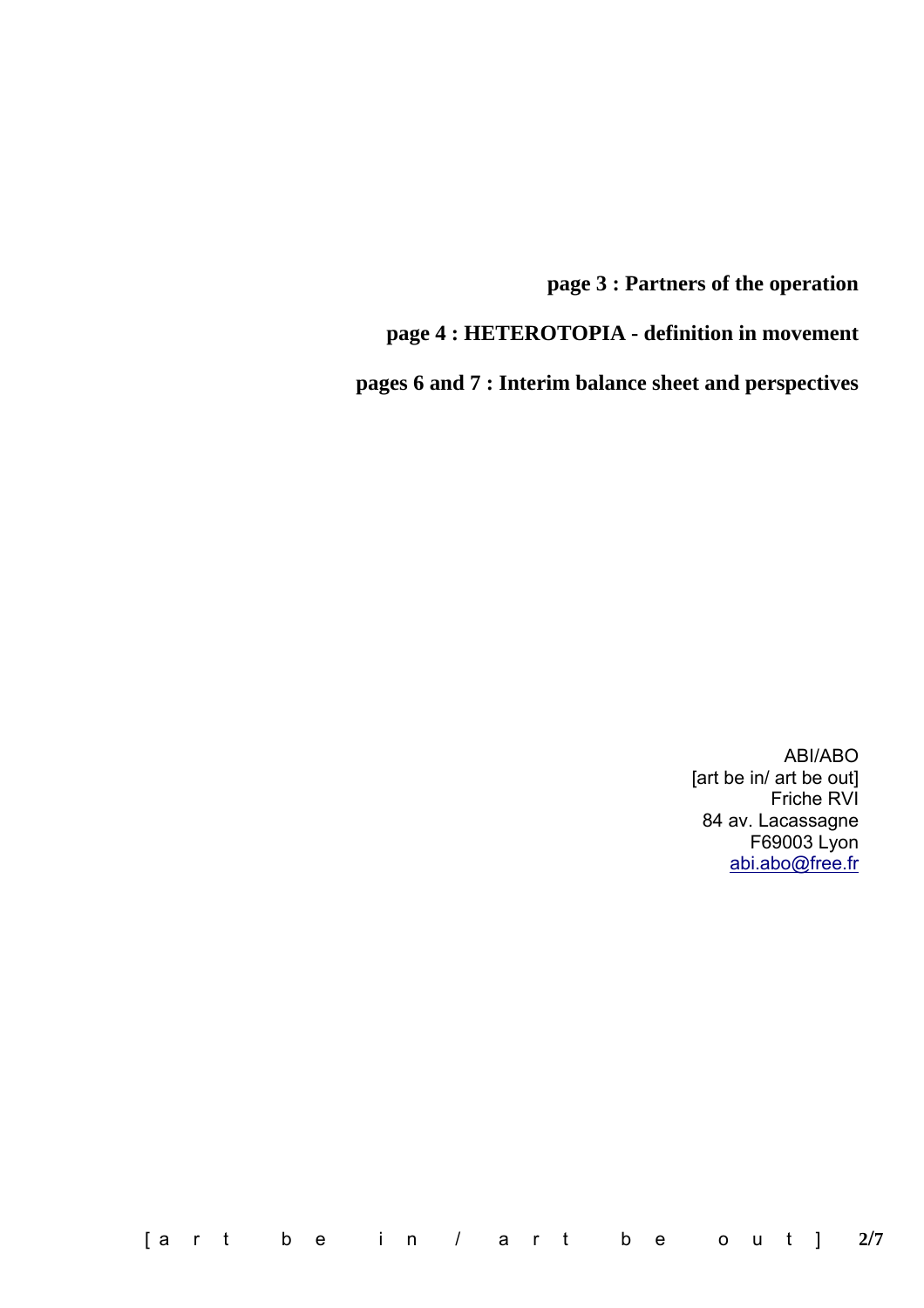**page 3 : Partners of the operation** 

**page 4 : HETEROTOPIA - definition in movement** 

**pages 6 and 7 : Interim balance sheet and perspectives**

ABI/ABO [art be in/ art be out] Friche RVI 84 av. Lacassagne F69003 Lyon [abi.abo@free.fr](mailto:abi.abo@free.fr)

[a r t b e i n / a r t b e o u t ] **2/7**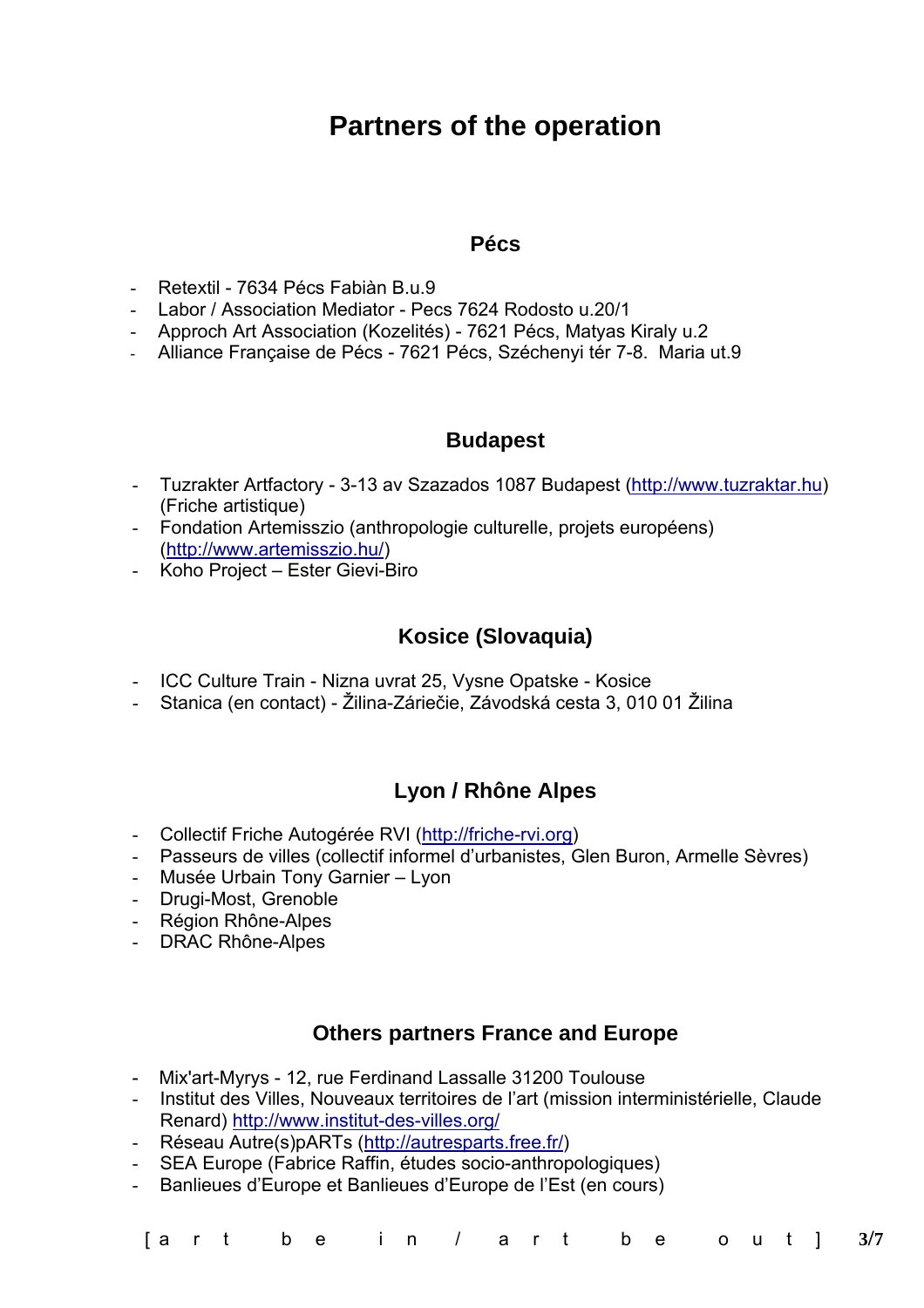# **Partners of the operation**

### **Pécs**

- Retextil 7634 Pécs Fabiàn B.u.9
- Labor / Association Mediator Pecs 7624 Rodosto u.20/1
- Approch Art Association (Kozelités) 7621 Pécs, Matyas Kiraly u.2
- Alliance Française de Pécs 7621 Pécs, Széchenyi tér 7-8. Maria ut.9

## **Budapest**

- Tuzrakter Artfactory 3-13 av Szazados 1087 Budapest ([http://www.tuzraktar.hu\)](http://www.tuzraktar.hu/) (Friche artistique)
- Fondation Artemisszio (anthropologie culturelle, projets européens) [\(http://www.artemisszio.hu/](http://www.artemisszio.hu/))
- Koho Project Ester Gievi-Biro

# **Kosice (Slovaquia)**

- ICC Culture Train Nizna uvrat 25, Vysne Opatske Kosice
- Stanica (en contact) Žilina-Záriečie, Závodská cesta 3, 010 01 Žilina

# **Lyon / Rhône Alpes**

- Collectif Friche Autogérée RVI ([http://friche-rvi.org\)](http://friche-rvi.org/)
- Passeurs de villes (collectif informel d'urbanistes, Glen Buron, Armelle Sèvres)
- Musée Urbain Tony Garnier Lyon
- Drugi-Most, Grenoble
- Région Rhône-Alpes
- DRAC Rhône-Alpes

# **Others partners France and Europe**

- Mix'art-Myrys 12, rue Ferdinand Lassalle 31200 Toulouse
- Institut des Villes, Nouveaux territoires de l'art (mission interministérielle, Claude Renard) <http://www.institut-des-villes.org/>
- Réseau Autre(s)pARTs [\(http://autresparts.free.fr/\)](http://autresparts.free.fr/)
- SEA Europe (Fabrice Raffin, études socio-anthropologiques)
- Banlieues d'Europe et Banlieues d'Europe de l'Est (en cours)

|  |  |  |  |  | [art be in / art be out] 3/7 |
|--|--|--|--|--|------------------------------|
|--|--|--|--|--|------------------------------|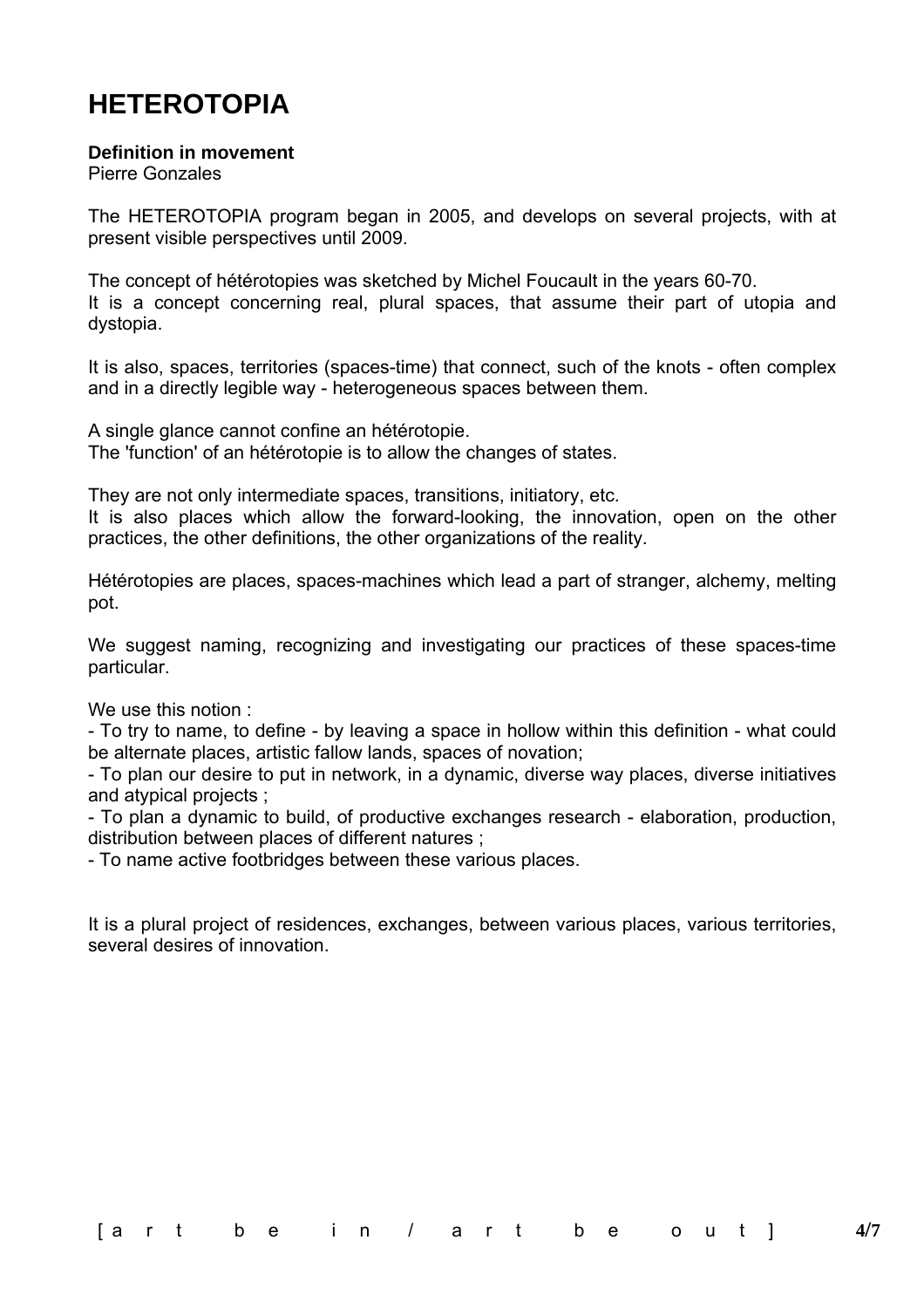# **HETEROTOPIA**

#### **Definition in movement**

Pierre Gonzales

The HETEROTOPIA program began in 2005, and develops on several projects, with at present visible perspectives until 2009.

The concept of hétérotopies was sketched by Michel Foucault in the years 60-70. It is a concept concerning real, plural spaces, that assume their part of utopia and dystopia.

It is also, spaces, territories (spaces-time) that connect, such of the knots - often complex and in a directly legible way - heterogeneous spaces between them.

A single glance cannot confine an hétérotopie. The 'function' of an hétérotopie is to allow the changes of states.

They are not only intermediate spaces, transitions, initiatory, etc.

It is also places which allow the forward-looking, the innovation, open on the other practices, the other definitions, the other organizations of the reality.

Hétérotopies are places, spaces-machines which lead a part of stranger, alchemy, melting pot.

We suggest naming, recognizing and investigating our practices of these spaces-time particular.

We use this notion :

- To try to name, to define - by leaving a space in hollow within this definition - what could be alternate places, artistic fallow lands, spaces of novation;

- To plan our desire to put in network, in a dynamic, diverse way places, diverse initiatives and atypical projects ;

- To plan a dynamic to build, of productive exchanges research - elaboration, production, distribution between places of different natures ;

- To name active footbridges between these various places.

It is a plural project of residences, exchanges, between various places, various territories, several desires of innovation.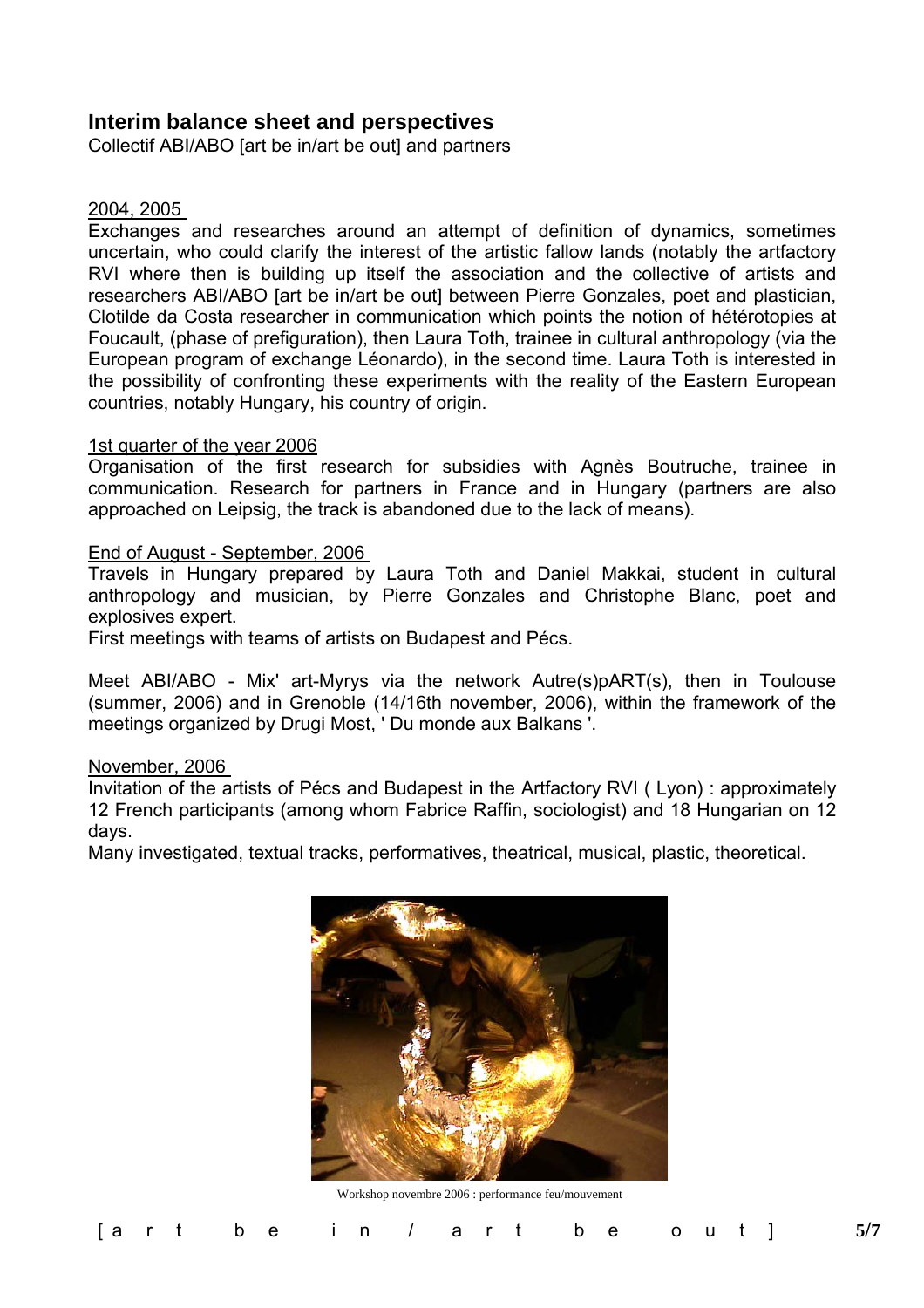## **Interim balance sheet and perspectives**

Collectif ABI/ABO [art be in/art be out] and partners

#### 2004, 2005

Exchanges and researches around an attempt of definition of dynamics, sometimes uncertain, who could clarify the interest of the artistic fallow lands (notably the artfactory RVI where then is building up itself the association and the collective of artists and researchers ABI/ABO [art be in/art be out] between Pierre Gonzales, poet and plastician, Clotilde da Costa researcher in communication which points the notion of hétérotopies at Foucault, (phase of prefiguration), then Laura Toth, trainee in cultural anthropology (via the European program of exchange Léonardo), in the second time. Laura Toth is interested in the possibility of confronting these experiments with the reality of the Eastern European countries, notably Hungary, his country of origin.

#### 1st quarter of the year 2006

Organisation of the first research for subsidies with Agnès Boutruche, trainee in communication. Research for partners in France and in Hungary (partners are also approached on Leipsig, the track is abandoned due to the lack of means).

#### End of August - September, 2006

Travels in Hungary prepared by Laura Toth and Daniel Makkai, student in cultural anthropology and musician, by Pierre Gonzales and Christophe Blanc, poet and explosives expert.

First meetings with teams of artists on Budapest and Pécs.

Meet ABI/ABO - Mix' art-Myrys via the network Autre(s)pART(s), then in Toulouse (summer, 2006) and in Grenoble (14/16th november, 2006), within the framework of the meetings organized by Drugi Most, ' Du monde aux Balkans '.

#### November, 2006

Invitation of the artists of Pécs and Budapest in the Artfactory RVI ( Lyon) : approximately 12 French participants (among whom Fabrice Raffin, sociologist) and 18 Hungarian on 12 days.

Many investigated, textual tracks, performatives, theatrical, musical, plastic, theoretical.



Workshop novembre 2006 : performance feu/mouvement

| [art be in / art be out] $5/7$ |  |  |  |  |  |  |  |  |  |  |  |  |  |  |  |  |  |  |  |  |  |  |  |  |  |  |
|--------------------------------|--|--|--|--|--|--|--|--|--|--|--|--|--|--|--|--|--|--|--|--|--|--|--|--|--|--|
|--------------------------------|--|--|--|--|--|--|--|--|--|--|--|--|--|--|--|--|--|--|--|--|--|--|--|--|--|--|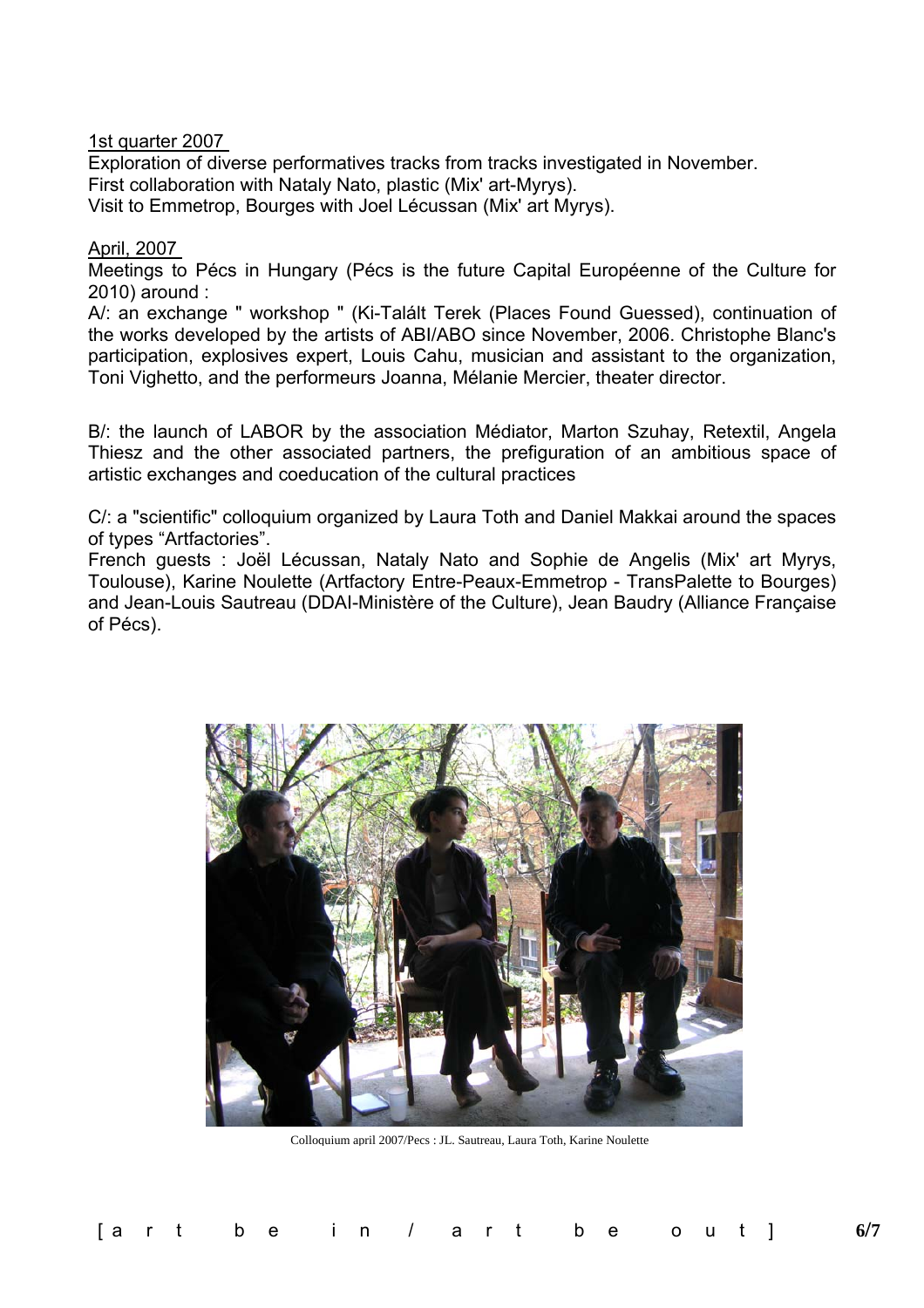1st quarter 2007

Exploration of diverse performatives tracks from tracks investigated in November. First collaboration with Nataly Nato, plastic (Mix' art-Myrys). Visit to Emmetrop, Bourges with Joel Lécussan (Mix' art Myrys).

#### April, 2007

Meetings to Pécs in Hungary (Pécs is the future Capital Européenne of the Culture for 2010) around :

A/: an exchange " workshop " (Ki-Talált Terek (Places Found Guessed), continuation of the works developed by the artists of ABI/ABO since November, 2006. Christophe Blanc's participation, explosives expert, Louis Cahu, musician and assistant to the organization, Toni Vighetto, and the performeurs Joanna, Mélanie Mercier, theater director.

B/: the launch of LABOR by the association Médiator, Marton Szuhay, Retextil, Angela Thiesz and the other associated partners, the prefiguration of an ambitious space of artistic exchanges and coeducation of the cultural practices

C/: a "scientific" colloquium organized by Laura Toth and Daniel Makkai around the spaces of types "Artfactories".

French guests : Joël Lécussan, Nataly Nato and Sophie de Angelis (Mix' art Myrys, Toulouse), Karine Noulette (Artfactory Entre-Peaux-Emmetrop - TransPalette to Bourges) and Jean-Louis Sautreau (DDAI-Ministère of the Culture), Jean Baudry (Alliance Française of Pécs).



Colloquium april 2007/Pecs : JL. Sautreau, Laura Toth, Karine Noulette